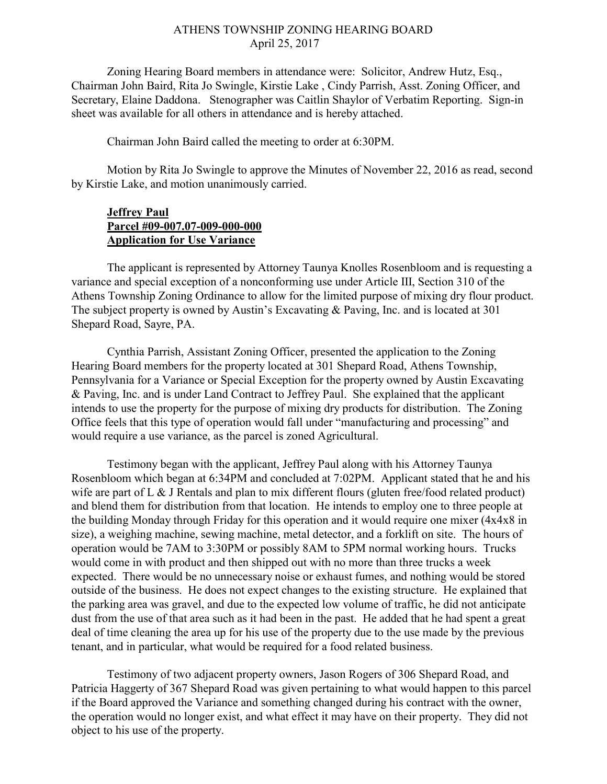## ATHENS TOWNSHIP ZONING HEARING BOARD April 25, 2017

Zoning Hearing Board members in attendance were: Solicitor, Andrew Hutz, Esq., Chairman John Baird, Rita Jo Swingle, Kirstie Lake , Cindy Parrish, Asst. Zoning Officer, and Secretary, Elaine Daddona. Stenographer was Caitlin Shaylor of Verbatim Reporting. Sign-in sheet was available for all others in attendance and is hereby attached.

Chairman John Baird called the meeting to order at 6:30PM.

Motion by Rita Jo Swingle to approve the Minutes of November 22, 2016 as read, second by Kirstie Lake, and motion unanimously carried.

## **Jeffrey Paul** Parcel #09-007.07-009-000-000 Application for Use Variance

 The applicant is represented by Attorney Taunya Knolles Rosenbloom and is requesting a variance and special exception of a nonconforming use under Article III, Section 310 of the Athens Township Zoning Ordinance to allow for the limited purpose of mixing dry flour product. The subject property is owned by Austin's Excavating & Paving, Inc. and is located at 301 Shepard Road, Sayre, PA.

Cynthia Parrish, Assistant Zoning Officer, presented the application to the Zoning Hearing Board members for the property located at 301 Shepard Road, Athens Township, Pennsylvania for a Variance or Special Exception for the property owned by Austin Excavating & Paving, Inc. and is under Land Contract to Jeffrey Paul. She explained that the applicant intends to use the property for the purpose of mixing dry products for distribution. The Zoning Office feels that this type of operation would fall under "manufacturing and processing" and would require a use variance, as the parcel is zoned Agricultural.

Testimony began with the applicant, Jeffrey Paul along with his Attorney Taunya Rosenbloom which began at 6:34PM and concluded at 7:02PM. Applicant stated that he and his wife are part of L & J Rentals and plan to mix different flours (gluten free/food related product) and blend them for distribution from that location. He intends to employ one to three people at the building Monday through Friday for this operation and it would require one mixer (4x4x8 in size), a weighing machine, sewing machine, metal detector, and a forklift on site. The hours of operation would be 7AM to 3:30PM or possibly 8AM to 5PM normal working hours. Trucks would come in with product and then shipped out with no more than three trucks a week expected. There would be no unnecessary noise or exhaust fumes, and nothing would be stored outside of the business. He does not expect changes to the existing structure. He explained that the parking area was gravel, and due to the expected low volume of traffic, he did not anticipate dust from the use of that area such as it had been in the past. He added that he had spent a great deal of time cleaning the area up for his use of the property due to the use made by the previous tenant, and in particular, what would be required for a food related business.

Testimony of two adjacent property owners, Jason Rogers of 306 Shepard Road, and Patricia Haggerty of 367 Shepard Road was given pertaining to what would happen to this parcel if the Board approved the Variance and something changed during his contract with the owner, the operation would no longer exist, and what effect it may have on their property. They did not object to his use of the property.